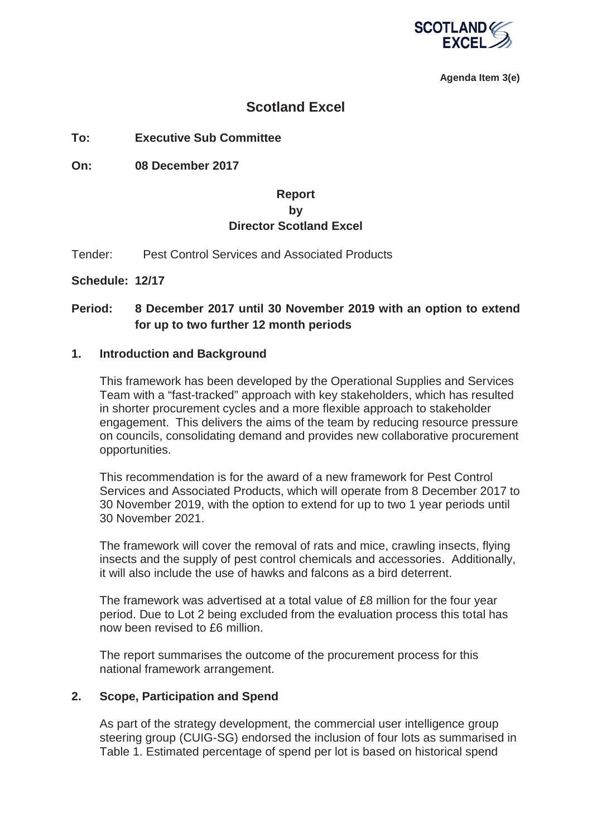

**Agenda Item 3(e)**

# **Scotland Excel**

# **To: Executive Sub Committee**

**On: 08 December 2017** 

# **Report by Director Scotland Excel**

Tender: Pest Control Services and Associated Products

**Schedule: 12/17**

# **Period: 8 December 2017 until 30 November 2019 with an option to extend for up to two further 12 month periods**

#### **1. Introduction and Background**

This framework has been developed by the Operational Supplies and Services Team with a "fast-tracked" approach with key stakeholders, which has resulted in shorter procurement cycles and a more flexible approach to stakeholder engagement. This delivers the aims of the team by reducing resource pressure on councils, consolidating demand and provides new collaborative procurement opportunities.

This recommendation is for the award of a new framework for Pest Control Services and Associated Products, which will operate from 8 December 2017 to 30 November 2019, with the option to extend for up to two 1 year periods until 30 November 2021.

The framework will cover the removal of rats and mice, crawling insects, flying insects and the supply of pest control chemicals and accessories. Additionally, it will also include the use of hawks and falcons as a bird deterrent.

The framework was advertised at a total value of £8 million for the four year period. Due to Lot 2 being excluded from the evaluation process this total has now been revised to £6 million.

The report summarises the outcome of the procurement process for this national framework arrangement.

## **2. Scope, Participation and Spend**

As part of the strategy development, the commercial user intelligence group steering group (CUIG-SG) endorsed the inclusion of four lots as summarised in Table 1. Estimated percentage of spend per lot is based on historical spend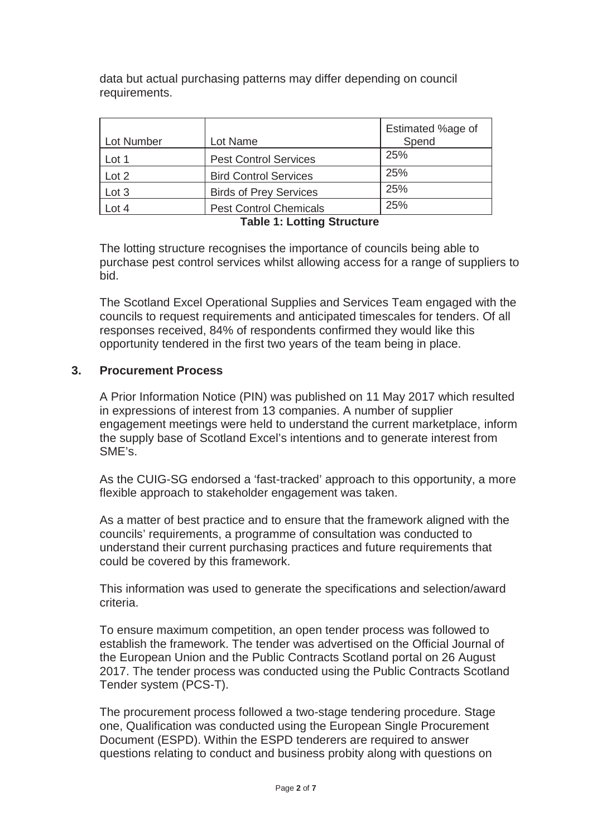data but actual purchasing patterns may differ depending on council requirements.

| Lot Number | Lot Name                      | Estimated %age of<br>Spend |
|------------|-------------------------------|----------------------------|
| Lot 1      | <b>Pest Control Services</b>  | 25%                        |
| Lot 2      | <b>Bird Control Services</b>  | 25%                        |
| Lot 3      | <b>Birds of Prey Services</b> | 25%                        |
| Lot 4      | <b>Pest Control Chemicals</b> | 25%                        |

**Table 1: Lotting Structure** 

The lotting structure recognises the importance of councils being able to purchase pest control services whilst allowing access for a range of suppliers to bid.

The Scotland Excel Operational Supplies and Services Team engaged with the councils to request requirements and anticipated timescales for tenders. Of all responses received, 84% of respondents confirmed they would like this opportunity tendered in the first two years of the team being in place.

## **3. Procurement Process**

A Prior Information Notice (PIN) was published on 11 May 2017 which resulted in expressions of interest from 13 companies. A number of supplier engagement meetings were held to understand the current marketplace, inform the supply base of Scotland Excel's intentions and to generate interest from SME's.

As the CUIG-SG endorsed a 'fast-tracked' approach to this opportunity, a more flexible approach to stakeholder engagement was taken.

As a matter of best practice and to ensure that the framework aligned with the councils' requirements, a programme of consultation was conducted to understand their current purchasing practices and future requirements that could be covered by this framework.

This information was used to generate the specifications and selection/award criteria.

To ensure maximum competition, an open tender process was followed to establish the framework. The tender was advertised on the Official Journal of the European Union and the Public Contracts Scotland portal on 26 August 2017. The tender process was conducted using the Public Contracts Scotland Tender system (PCS-T).

The procurement process followed a two-stage tendering procedure. Stage one, Qualification was conducted using the European Single Procurement Document (ESPD). Within the ESPD tenderers are required to answer questions relating to conduct and business probity along with questions on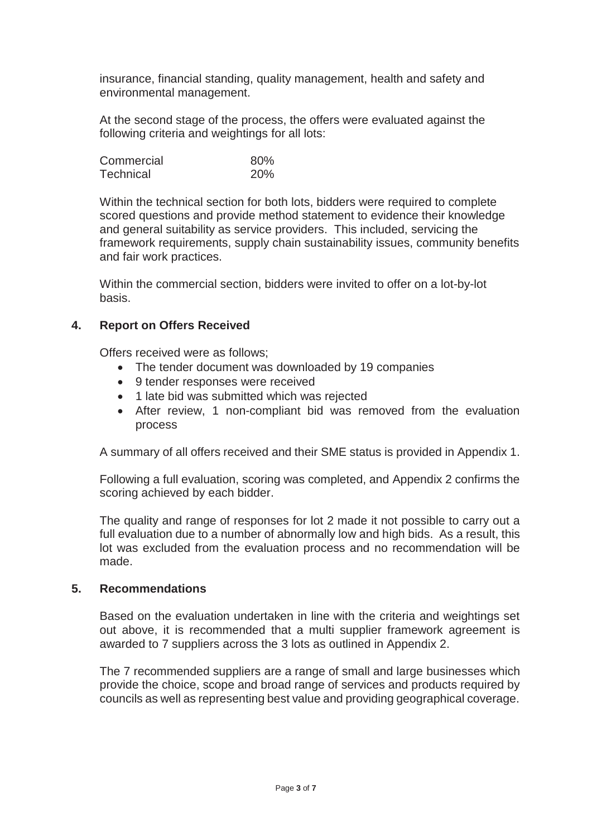insurance, financial standing, quality management, health and safety and environmental management.

At the second stage of the process, the offers were evaluated against the following criteria and weightings for all lots:

| Commercial | 80%        |
|------------|------------|
| Technical  | <b>20%</b> |

Within the technical section for both lots, bidders were required to complete scored questions and provide method statement to evidence their knowledge and general suitability as service providers. This included, servicing the framework requirements, supply chain sustainability issues, community benefits and fair work practices.

Within the commercial section, bidders were invited to offer on a lot-by-lot basis.

## **4. Report on Offers Received**

Offers received were as follows;

- The tender document was downloaded by 19 companies
- 9 tender responses were received
- 1 late bid was submitted which was rejected
- After review, 1 non-compliant bid was removed from the evaluation process

A summary of all offers received and their SME status is provided in Appendix 1.

Following a full evaluation, scoring was completed, and Appendix 2 confirms the scoring achieved by each bidder.

The quality and range of responses for lot 2 made it not possible to carry out a full evaluation due to a number of abnormally low and high bids. As a result, this lot was excluded from the evaluation process and no recommendation will be made.

## **5. Recommendations**

Based on the evaluation undertaken in line with the criteria and weightings set out above, it is recommended that a multi supplier framework agreement is awarded to 7 suppliers across the 3 lots as outlined in Appendix 2.

The 7 recommended suppliers are a range of small and large businesses which provide the choice, scope and broad range of services and products required by councils as well as representing best value and providing geographical coverage.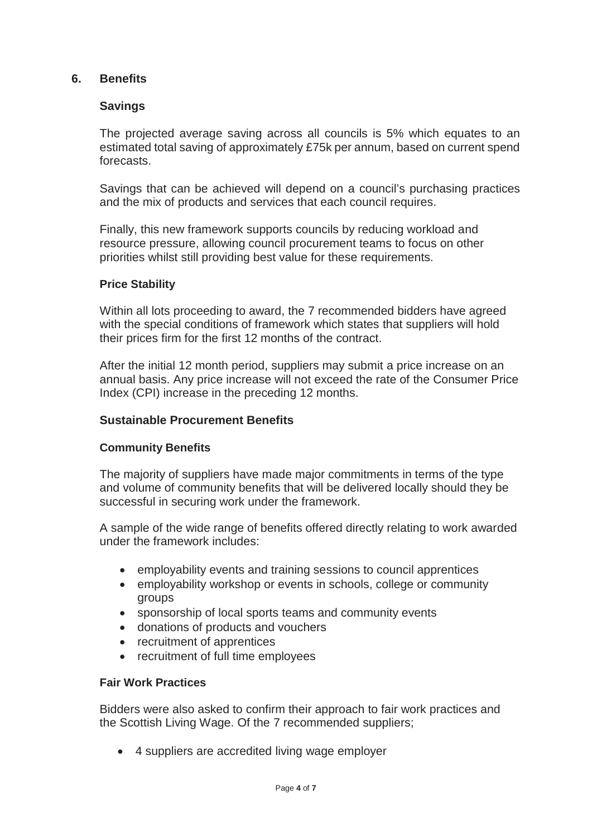## **6. Benefits**

## **Savings**

The projected average saving across all councils is 5% which equates to an estimated total saving of approximately £75k per annum, based on current spend forecasts.

Savings that can be achieved will depend on a council's purchasing practices and the mix of products and services that each council requires.

Finally, this new framework supports councils by reducing workload and resource pressure, allowing council procurement teams to focus on other priorities whilst still providing best value for these requirements.

#### **Price Stability**

Within all lots proceeding to award, the 7 recommended bidders have agreed with the special conditions of framework which states that suppliers will hold their prices firm for the first 12 months of the contract.

After the initial 12 month period, suppliers may submit a price increase on an annual basis. Any price increase will not exceed the rate of the Consumer Price Index (CPI) increase in the preceding 12 months.

#### **Sustainable Procurement Benefits**

#### **Community Benefits**

The majority of suppliers have made major commitments in terms of the type and volume of community benefits that will be delivered locally should they be successful in securing work under the framework.

A sample of the wide range of benefits offered directly relating to work awarded under the framework includes:

- employability events and training sessions to council apprentices
- employability workshop or events in schools, college or community groups
- sponsorship of local sports teams and community events
- donations of products and vouchers
- recruitment of apprentices
- recruitment of full time employees

#### **Fair Work Practices**

Bidders were also asked to confirm their approach to fair work practices and the Scottish Living Wage. Of the 7 recommended suppliers;

• 4 suppliers are accredited living wage employer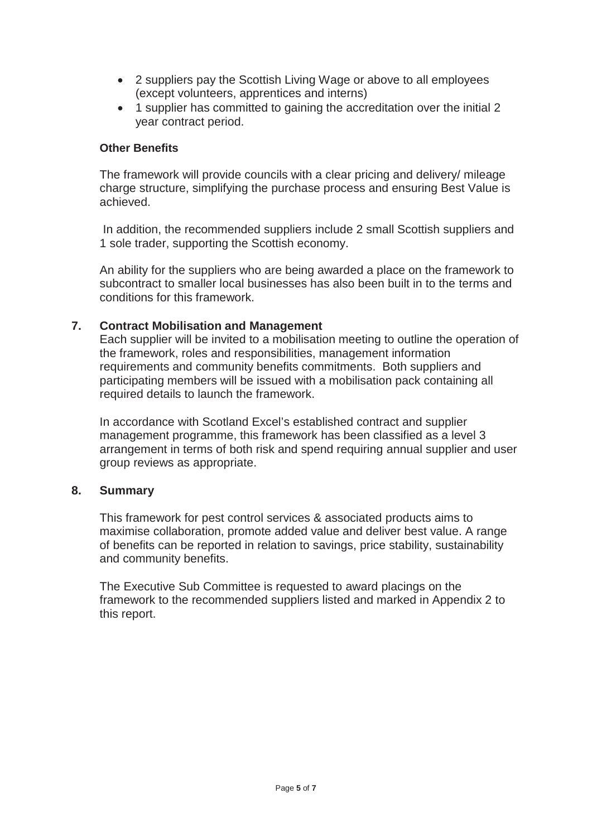- 2 suppliers pay the Scottish Living Wage or above to all employees (except volunteers, apprentices and interns)
- 1 supplier has committed to gaining the accreditation over the initial 2 year contract period.

## **Other Benefits**

The framework will provide councils with a clear pricing and delivery/ mileage charge structure, simplifying the purchase process and ensuring Best Value is achieved.

 In addition, the recommended suppliers include 2 small Scottish suppliers and 1 sole trader, supporting the Scottish economy.

An ability for the suppliers who are being awarded a place on the framework to subcontract to smaller local businesses has also been built in to the terms and conditions for this framework.

## **7. Contract Mobilisation and Management**

Each supplier will be invited to a mobilisation meeting to outline the operation of the framework, roles and responsibilities, management information requirements and community benefits commitments. Both suppliers and participating members will be issued with a mobilisation pack containing all required details to launch the framework.

In accordance with Scotland Excel's established contract and supplier management programme, this framework has been classified as a level 3 arrangement in terms of both risk and spend requiring annual supplier and user group reviews as appropriate.

## **8. Summary**

This framework for pest control services & associated products aims to maximise collaboration, promote added value and deliver best value. A range of benefits can be reported in relation to savings, price stability, sustainability and community benefits.

The Executive Sub Committee is requested to award placings on the framework to the recommended suppliers listed and marked in Appendix 2 to this report.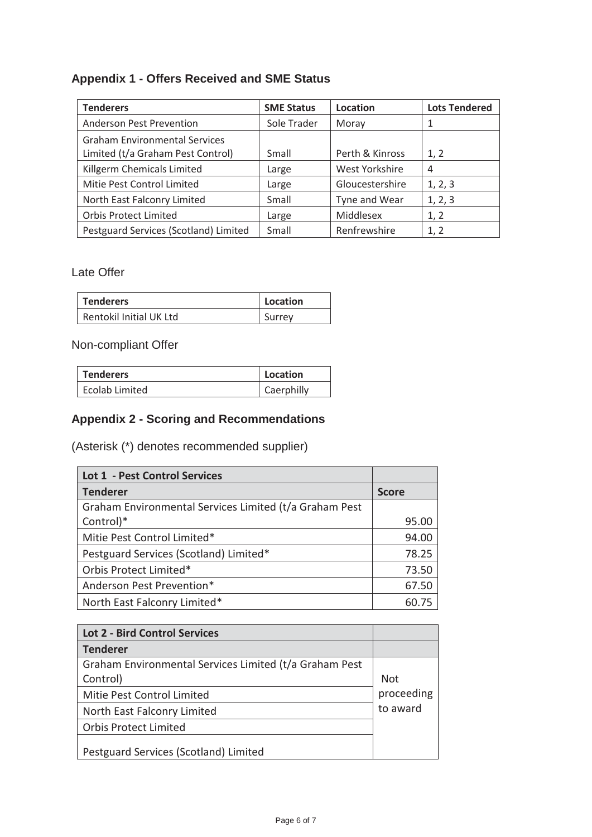# **Appendix 1 - Offers Received and SME Status**

| <b>Tenderers</b>                      | <b>SME Status</b> | Location        | <b>Lots Tendered</b> |
|---------------------------------------|-------------------|-----------------|----------------------|
| <b>Anderson Pest Prevention</b>       | Sole Trader       | Moray           | 1                    |
| <b>Graham Environmental Services</b>  |                   |                 |                      |
| Limited (t/a Graham Pest Control)     | Small             | Perth & Kinross | 1, 2                 |
| Killgerm Chemicals Limited            | Large             | West Yorkshire  | 4                    |
| Mitie Pest Control Limited            | Large             | Gloucestershire | 1, 2, 3              |
| North East Falconry Limited           | Small             | Tyne and Wear   | 1, 2, 3              |
| <b>Orbis Protect Limited</b>          | Large             | Middlesex       | 1, 2                 |
| Pestguard Services (Scotland) Limited | Small             | Renfrewshire    | 1, 2                 |

Late Offer

| Tenderers               | Location |
|-------------------------|----------|
| Rentokil Initial UK Ltd | Surrey   |

Non-compliant Offer

| <b>Tenderers</b> | Location   |
|------------------|------------|
| Ecolab Limited   | Caerphilly |

# **Appendix 2 - Scoring and Recommendations**

(Asterisk (\*) denotes recommended supplier)

| <b>Lot 1 - Pest Control Services</b>                   |              |
|--------------------------------------------------------|--------------|
| <b>Tenderer</b>                                        | <b>Score</b> |
| Graham Environmental Services Limited (t/a Graham Pest |              |
| Control)*                                              | 95.00        |
| Mitie Pest Control Limited*                            | 94.00        |
| Pestguard Services (Scotland) Limited*                 | 78.25        |
| Orbis Protect Limited*                                 | 73.50        |
| Anderson Pest Prevention*                              | 67.50        |
| North East Falconry Limited*                           |              |

| <b>Lot 2 - Bird Control Services</b>                   |            |
|--------------------------------------------------------|------------|
| <b>Tenderer</b>                                        |            |
| Graham Environmental Services Limited (t/a Graham Pest |            |
| Control)                                               | <b>Not</b> |
| Mitie Pest Control Limited                             | proceeding |
| North East Falconry Limited                            | to award   |
| <b>Orbis Protect Limited</b>                           |            |
| Pestguard Services (Scotland) Limited                  |            |